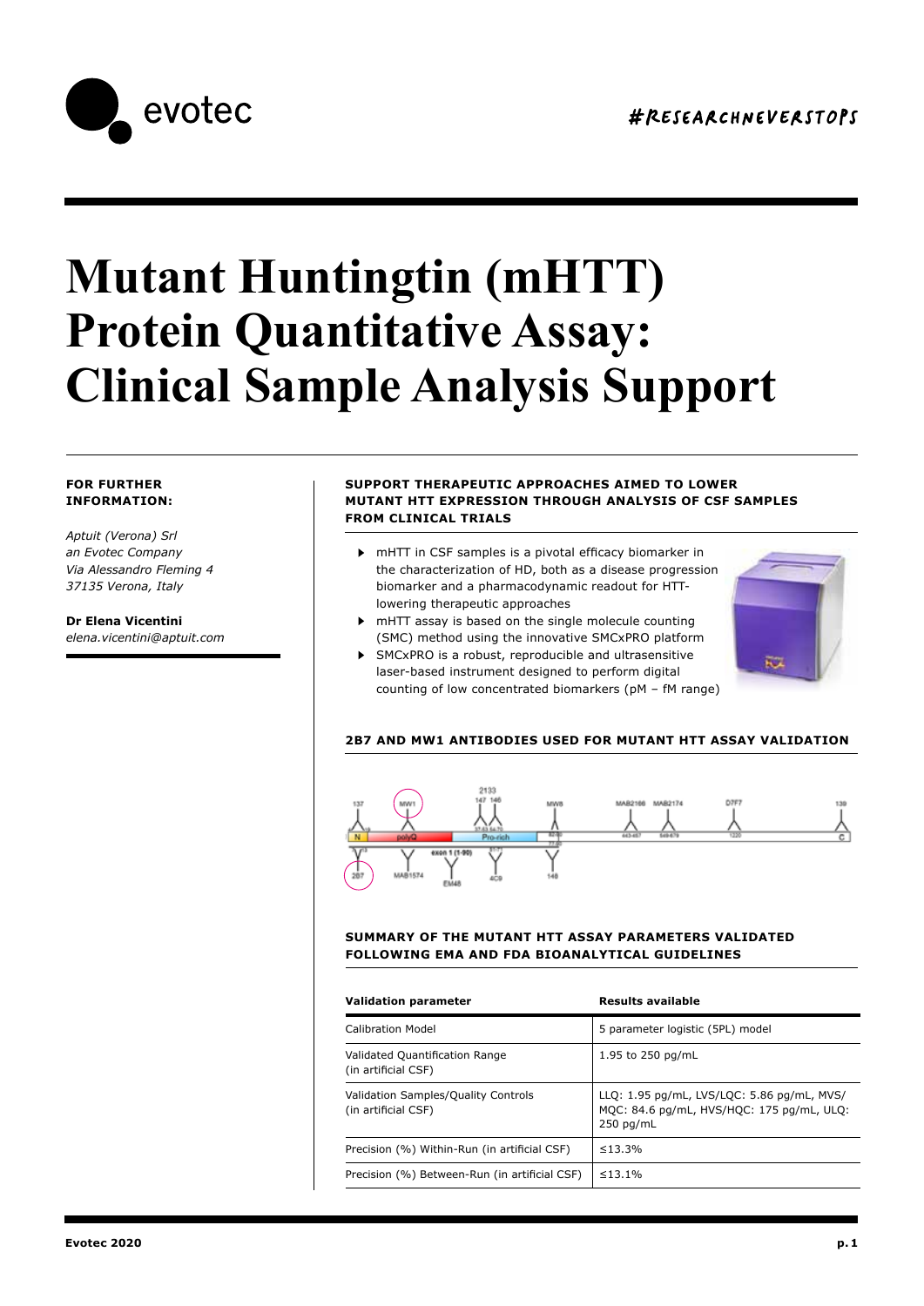

# **Mutant Huntingtin (mHTT) Protein Quantitative Assay: Clinical Sample Analysis Support**

### **FOR FURTHER INFORMATION:**

*Aptuit (Verona) Srl an Evotec Company Via Alessandro Fleming 4 37135 Verona, Italy*

**Dr Elena Vicentini**  *elena.vicentini@aptuit.com*

#### **SUPPORT THERAPEUTIC APPROACHES AIMED TO LOWER MUTANT HTT EXPRESSION THROUGH ANALYSIS OF CSF SAMPLES FROM CLINICAL TRIALS**

- mHTT in CSF samples is a pivotal efficacy biomarker in the characterization of HD, both as a disease progression biomarker and a pharmacodynamic readout for HTTlowering therapeutic approaches
- mHTT assay is based on the single molecule counting (SMC) method using the innovative SMCxPRO platform
- SMCxPRO is a robust, reproducible and ultrasensitive laser-based instrument designed to perform digital counting of low concentrated biomarkers (pM – fM range)



## **2B7 AND MW1 ANTIBODIES USED FOR MUTANT HTT ASSAY VALIDATION**



#### **SUMMARY OF THE MUTANT HTT ASSAY PARAMETERS VALIDATED FOLLOWING EMA AND FDA BIOANALYTICAL GUIDELINES**

| <b>Validation parameter</b>                                       | <b>Results available</b>                                                                               |
|-------------------------------------------------------------------|--------------------------------------------------------------------------------------------------------|
| Calibration Model                                                 | 5 parameter logistic (5PL) model                                                                       |
| Validated Quantification Range<br>(in artificial CSF)             | 1.95 to 250 pg/mL                                                                                      |
| <b>Validation Samples/Quality Controls</b><br>(in artificial CSF) | LLQ: 1.95 pg/mL, LVS/LQC: 5.86 pg/mL, MVS/<br>MQC: 84.6 pg/mL, HVS/HQC: 175 pg/mL, ULQ:<br>$250$ pg/mL |
| Precision (%) Within-Run (in artificial CSF)                      | $\leq 13.3\%$                                                                                          |
| Precision (%) Between-Run (in artificial CSF)                     | $\leq 13.1\%$                                                                                          |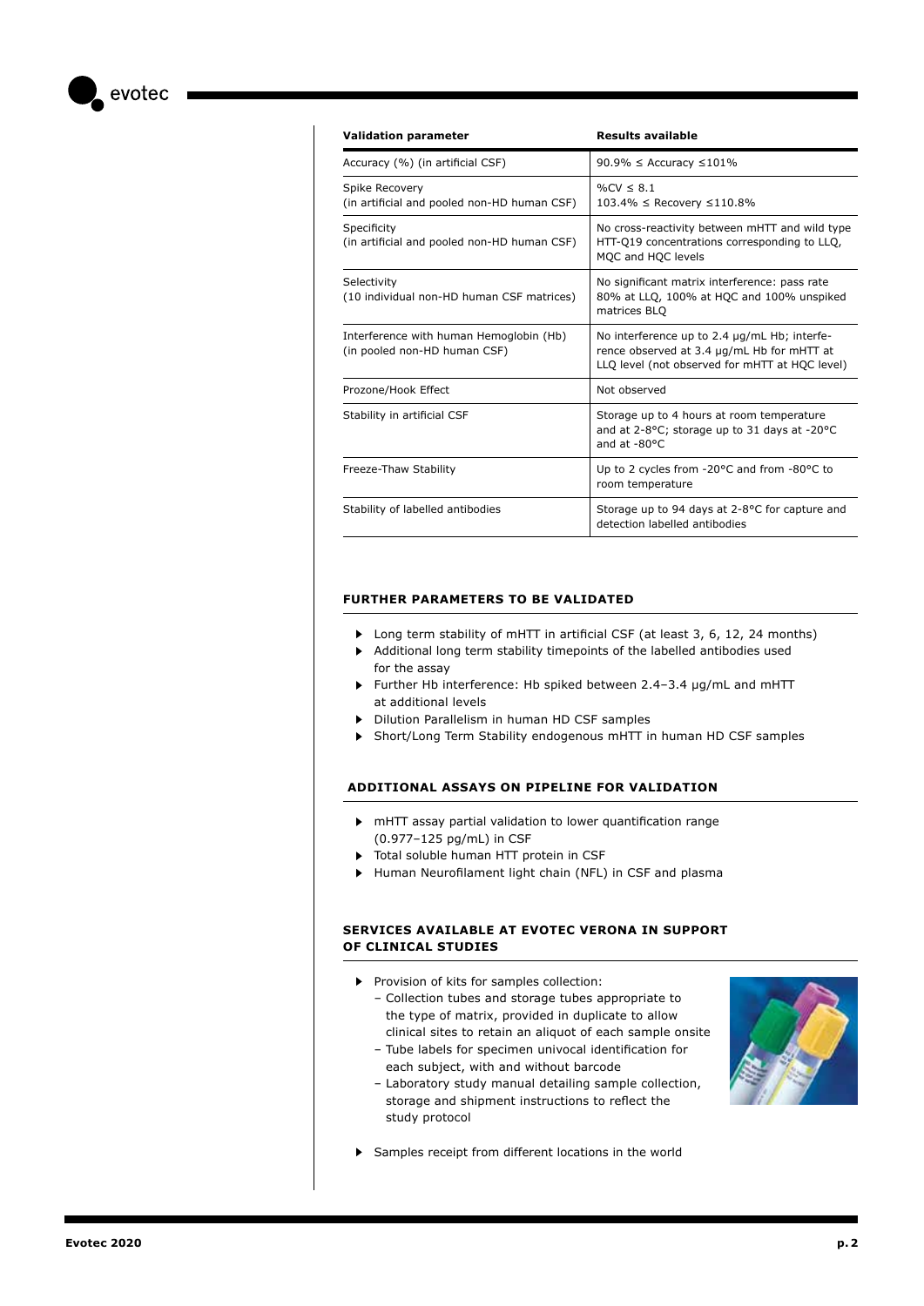evotec

| <b>Validation parameter</b>                                             | <b>Results available</b>                                                                                                                     |
|-------------------------------------------------------------------------|----------------------------------------------------------------------------------------------------------------------------------------------|
| Accuracy (%) (in artificial CSF)                                        | 90.9% $\leq$ Accuracy $\leq$ 101%                                                                                                            |
| Spike Recovery<br>(in artificial and pooled non-HD human CSF)           | $\frac{9}{6}$ CV < 8.1<br>103.4% ≤ Recovery ≤110.8%                                                                                          |
| Specificity<br>(in artificial and pooled non-HD human CSF)              | No cross-reactivity between mHTT and wild type<br>HTT-Q19 concentrations corresponding to LLQ,<br>MQC and HQC levels                         |
| Selectivity<br>(10 individual non-HD human CSF matrices)                | No significant matrix interference: pass rate<br>80% at LLQ, 100% at HQC and 100% unspiked<br>matrices BLO                                   |
| Interference with human Hemoglobin (Hb)<br>(in pooled non-HD human CSF) | No interference up to 2.4 µg/mL Hb; interfe-<br>rence observed at 3.4 µg/mL Hb for mHTT at<br>LLQ level (not observed for mHTT at HQC level) |
| Prozone/Hook Effect                                                     | Not observed                                                                                                                                 |
| Stability in artificial CSF                                             | Storage up to 4 hours at room temperature<br>and at 2-8°C; storage up to 31 days at -20°C<br>and at -80°C                                    |
| Freeze-Thaw Stability                                                   | Up to 2 cycles from -20°C and from -80°C to<br>room temperature                                                                              |
| Stability of labelled antibodies                                        | Storage up to 94 days at 2-8°C for capture and<br>detection labelled antibodies                                                              |

#### **FURTHER PARAMETERS TO BE VALIDATED**

- ▶ Long term stability of mHTT in artificial CSF (at least 3, 6, 12, 24 months)
- Additional long term stability timepoints of the labelled antibodies used  $\blacktriangleright$ for the assay
- Further Hb interference: Hb spiked between 2.4–3.4 µg/mL and mHTT at additional levels
- Dilution Parallelism in human HD CSF samples
- Short/Long Term Stability endogenous mHTT in human HD CSF samples

#### **ADDITIONAL ASSAYS ON PIPELINE FOR VALIDATION**

- mHTT assay partial validation to lower quantification range (0.977–125 pg/mL) in CSF
- Total soluble human HTT protein in CSF
- Human Neurofilament light chain (NFL) in CSF and plasma

#### **SERVICES AVAILABLE AT EVOTEC VERONA IN SUPPORT OF CLINICAL STUDIES**

- Provision of kits for samples collection:
	- Collection tubes and storage tubes appropriate to the type of matrix, provided in duplicate to allow clinical sites to retain an aliquot of each sample onsite
	- Tube labels for specimen univocal identification for each subject, with and without barcode
	- Laboratory study manual detailing sample collection, storage and shipment instructions to reflect the study protocol



Samples receipt from different locations in the world